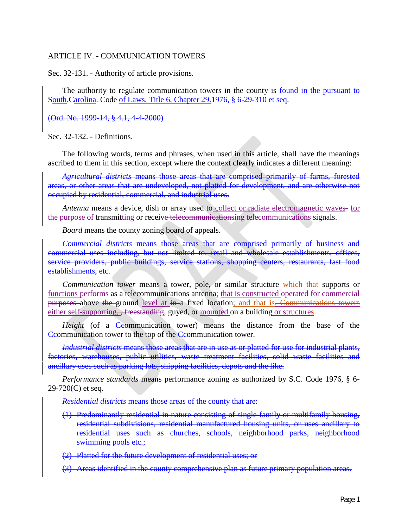#### ARTICLE IV. - COMMUNICATION TOWERS

Sec. 32-131. - Authority of article provisions.

The authority to regulate communication towers in the county is <u>found in the pursuant to</u> South-Carolina. Code of Laws, Title 6, Chapter 29.<del>1976, § 6-29-310 et seq.</del>

(Ord. No. 1999-14, § 4.1, 4-4-2000)

Sec. 32-132. - Definitions.

The following words, terms and phrases, when used in this article, shall have the meanings ascribed to them in this section, except where the context clearly indicates a different meaning:

*Agricultural districts* means those areas that are comprised primarily of farms, forested areas, or other areas that are undeveloped, not platted for development, and are otherwise not occupied by residential, commercial, and industrial uses.

*Antenna* means a device, dish or array used to collect or radiate electromagnetic waves- for the purpose of transmitting or receive telecommunicationsing telecommunications signals.

*Board* means the county zoning board of appeals.

*Commercial districts* means those areas that are comprised primarily of business and commercial uses including, but not limited to, retail and wholesale establishments, offices, service providers, public buildings, service stations, shopping centers, restaurants, fast food establishments, etc.

*Communication tower* means a tower, pole, or similar structure which that supports or functions performs as a telecommunications antenna; that is constructed operated for commercial purposes above the ground level at in a fixed location; and that is. Communications towers either self-supporting, , freestanding, guyed, or mounted on a building or structures.

*Height* (of a Ceommunication tower) means the distance from the base of the Ceommunication tower to the top of the Ceommunication tower.

*Industrial districts* means those areas that are in use as or platted for use for industrial plants, factories, warehouses, public utilities, waste treatment facilities, solid waste facilities and ancillary uses such as parking lots, shipping facilities, depots and the like.

*Performance standards* means performance zoning as authorized by S.C. Code 1976, § 6- 29-720(C) et seq.

*Residential districts* means those areas of the county that are:

- (1) Predominantly residential in nature consisting of single-family or multifamily housing, residential subdivisions, residential manufactured housing units, or uses ancillary to residential uses such as churches, schools, neighborhood parks, neighborhood swimming pools etc.;
- (2) Platted for the future development of residential uses; or
- (3) Areas identified in the county comprehensive plan as future primary population areas.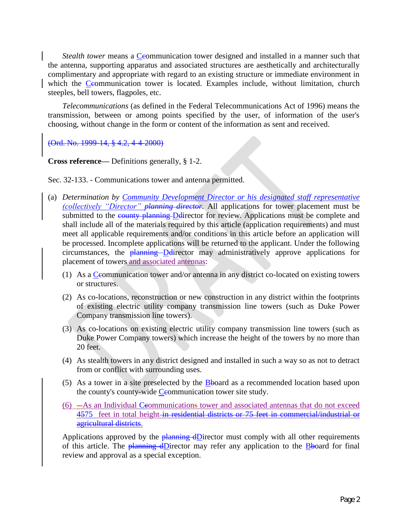*Stealth tower* means a Ceommunication tower designed and installed in a manner such that the antenna, supporting apparatus and associated structures are aesthetically and architecturally complimentary and appropriate with regard to an existing structure or immediate environment in which the Ceommunication tower is located. Examples include, without limitation, church steeples, bell towers, flagpoles, etc.

*Telecommunications* (as defined in the Federal Telecommunications Act of 1996) means the transmission, between or among points specified by the user, of information of the user's choosing, without change in the form or content of the information as sent and received.

(Ord. No. 1999-14, § 4.2, 4-4-2000)

**Cross reference—** Definitions generally, § 1-2.

Sec. 32-133. - Communications tower and antenna permitted.

- (a) *Determination by Community Development Director or his designated staff representative (collectively "Director" planning director.* All applications for tower placement must be submitted to the county planning Ddirector for review. Applications must be complete and shall include all of the materials required by this article (application requirements) and must meet all applicable requirements and/or conditions in this article before an application will be processed. Incomplete applications will be returned to the applicant. Under the following circumstances, the  $\frac{\text{planning}}{\text{D}}$   $\frac{\text{D}}{\text{D}}$  director may administratively approve applications for placement of towers and associated antennas:
	- (1) As a Ceommunication tower and/or antenna in any district co-located on existing towers or structures.
	- (2) As co-locations, reconstruction or new construction in any district within the footprints of existing electric utility company transmission line towers (such as Duke Power Company transmission line towers).
	- (3) As co-locations on existing electric utility company transmission line towers (such as Duke Power Company towers) which increase the height of the towers by no more than 20 feet.
	- (4) As stealth towers in any district designed and installed in such a way so as not to detract from or conflict with surrounding uses.
	- (5) As a tower in a site preselected by the  $\overline{\text{B}}$ board as a recommended location based upon the county's county-wide Ceommunication tower site study.
	- $(6)$   $-As$  an Individual Ceommunications tower and associated antennas that do not exceed 4575 feet in total height in residential districts or 75 feet in commercial/industrial or agricultural districts.

Applications approved by the  $\frac{\text{planning}}{\text{d} \text{Direct}}$  must comply with all other requirements of this article. The **planning dD**irector may refer any application to the **B**board for final review and approval as a special exception.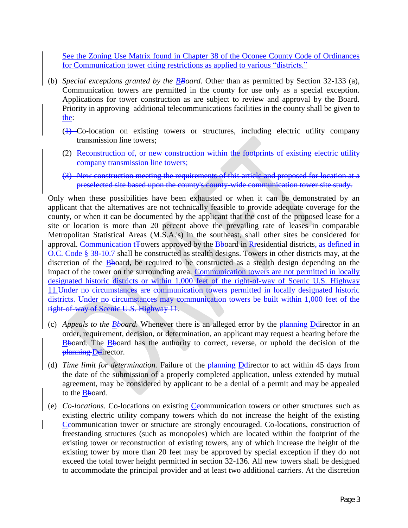See the Zoning Use Matrix found in Chapter 38 of the Oconee County Code of Ordinances for Communication tower citing restrictions as applied to various "districts."

- (b) *Special exceptions granted by the BBoard.* Other than as permitted by Section 32-133 (a), Communication towers are permitted in the county for use only as a special exception. Applications for tower construction as are subject to review and approval by the Board. Priority in approving additional telecommunications facilities in the county shall be given to the:
	- (1) Co-location on existing towers or structures, including electric utility company transmission line towers;
	- (2) Reconstruction of, or new construction within the footprints of existing electric utility company transmission line towers;
	- (3) New construction meeting the requirements of this article and proposed for location at a preselected site based upon the county's county-wide communication tower site study.

Only when these possibilities have been exhausted or when it can be demonstrated by an applicant that the alternatives are not technically feasible to provide adequate coverage for the county, or when it can be documented by the applicant that the cost of the proposed lease for a site or location is more than 20 percent above the prevailing rate of leases in comparable Metropolitan Statistical Areas (M.S.A.'s) in the southeast, shall other sites be considered for approval. Communication to Towers approved by the  $B$ board in Residential districts, as defined in O.C. Code § 38-10.7 shall be constructed as stealth designs. Towers in other districts may, at the discretion of the Bboard, be required to be constructed as a stealth design depending on the impact of the tower on the surrounding area. Communication towers are not permitted in locally designated historic districts or within 1,000 feet of the right-of-way of Scenic U.S. Highway 11.Under no circumstances are communication towers permitted in locally designated historic districts. Under no circumstances may communication towers be built within 1,000 feet of the right-of-way of Scenic U.S. Highway 11.

- (c) *Appeals to the Bboard.* Whenever there is an alleged error by the planning Ddirector in an order, requirement, decision, or determination, an applicant may request a hearing before the  $\frac{\text{B}}{\text{A}}$ board. The  $\frac{\text{B}}{\text{B}}$ board has the authority to correct, reverse, or uphold the decision of the planning-Ddirector.
- (d) *Time limit for determination*. Failure of the **planning-D**director to act within 45 days from the date of the submission of a properly completed application, unless extended by mutual agreement, may be considered by applicant to be a denial of a permit and may be appealed to the Bboard.
- (e) *Co-locations.* Co-locations on existing Ceommunication towers or other structures such as existing electric utility company towers which do not increase the height of the existing Ceommunication tower or structure are strongly encouraged. Co-locations, construction of freestanding structures (such as monopoles) which are located within the footprint of the existing tower or reconstruction of existing towers, any of which increase the height of the existing tower by more than 20 feet may be approved by special exception if they do not exceed the total tower height permitted in section 32-136. All new towers shall be designed to accommodate the principal provider and at least two additional carriers. At the discretion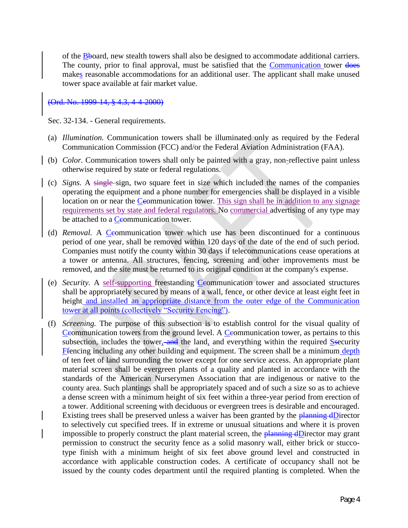of the Bboard, new stealth towers shall also be designed to accommodate additional carriers. The county, prior to final approval, must be satisfied that the Communication tower does makes reasonable accommodations for an additional user. The applicant shall make unused tower space available at fair market value.

(Ord. No. 1999-14, § 4.3, 4-4-2000)

Sec. 32-134. - General requirements.

- (a) *Illumination.* Communication towers shall be illuminated only as required by the Federal Communication Commission (FCC) and/or the Federal Aviation Administration (FAA).
- (b) *Color.* Communication towers shall only be painted with a gray, non-reflective paint unless otherwise required by state or federal regulations.
- (c) *Signs.* A single sign, two square feet in size which included the names of the companies operating the equipment and a phone number for emergencies shall be displayed in a visible location on or near the Ceommunication tower. This sign shall be in addition to any signage requirements set by state and federal regulators. No commercial advertising of any type may be attached to a Ceommunication tower.
- (d) *Removal.* A Ceommunication tower which use has been discontinued for a continuous period of one year, shall be removed within 120 days of the date of the end of such period. Companies must notify the county within 30 days if telecommunications cease operations at a tower or antenna. All structures, fencing, screening and other improvements must be removed, and the site must be returned to its original condition at the company's expense.
- (e) *Security*. A self-supporting freestanding *Ceommunication* tower and associated structures shall be appropriately secured by means of a wall, fence, or other device at least eight feet in height and installed an appriopriate distance from the outer edge of the Communication tower at all points (collectively "Security Fencing").
- (f) *Screening.* The purpose of this subsection is to establish control for the visual quality of Ceommunication towers from the ground level. A Ceommunication tower, as pertains to this subsection, includes the tower, and the land, and everything within the required Ssecurity Ffencing including any other building and equipment. The screen shall be a minimum depth of ten feet of land surrounding the tower except for one service access. An appropriate plant material screen shall be evergreen plants of a quality and planted in accordance with the standards of the American Nurserymen Association that are indigenous or native to the county area. Such plantings shall be appropriately spaced and of such a size so as to achieve a dense screen with a minimum height of six feet within a three-year period from erection of a tower. Additional screening with deciduous or evergreen trees is desirable and encouraged. Existing trees shall be preserved unless a waiver has been granted by the  $\frac{\text{planning d}D}{\text{rector}}$ to selectively cut specified trees. If in extreme or unusual situations and where it is proven impossible to properly construct the plant material screen, the planning dDirector may grant permission to construct the security fence as a solid masonry wall, either brick or stuccotype finish with a minimum height of six feet above ground level and constructed in accordance with applicable construction codes. A certificate of occupancy shall not be issued by the county codes department until the required planting is completed. When the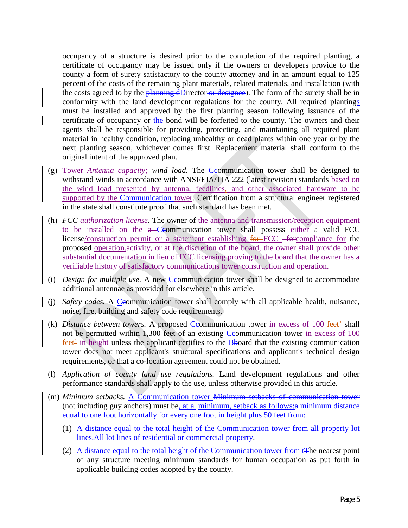occupancy of a structure is desired prior to the completion of the required planting, a certificate of occupancy may be issued only if the owners or developers provide to the county a form of surety satisfactory to the county attorney and in an amount equal to 125 percent of the costs of the remaining plant materials, related materials, and installation (with the costs agreed to by the planning dDirector or designee). The form of the surety shall be in conformity with the land development regulations for the county. All required plantings must be installed and approved by the first planting season following issuance of the certificate of occupancy or the bond will be forfeited to the county. The owners and their agents shall be responsible for providing, protecting, and maintaining all required plant material in healthy condition, replacing unhealthy or dead plants within one year or by the next planting season, whichever comes first. Replacement material shall conform to the original intent of the approved plan.

- (g) Tower *Antenna capacity; wind load*. The *Ceommunication tower shall be designed to* withstand winds in accordance with ANSI/EIA/TIA 222 (latest revision) standards based on the wind load presented by antenna, feedlines, and other associated hardware to be supported by the Communication tower. Certification from a structural engineer registered in the state shall constitute proof that such standard has been met.
- (h) *FCC authorization license.* The owner of the antenna and transmission/reception equipment to be installed on the a-Ceommunication tower shall possess either a valid FCC license/construction permit or a statement establishing for FCC -forcompliance for the proposed operation.activity, or at the discretion of the board, the owner shall provide other substantial documentation in lieu of FCC licensing proving to the board that the owner has a verifiable history of satisfactory communications tower construction and operation.
- (i) *Design for multiple use.* A new *Ceommunication tower shall be designed to accommodate* additional antennae as provided for elsewhere in this article.
- (i) *Safety codes.* A Ceommunication tower shall comply with all applicable health, nuisance, noise, fire, building and safety code requirements.
- (k) *Distance between towers*. A proposed *C*eommunication tower in excess of 100 feet<sup>2</sup> shall not be permitted within 1,300 feet of an existing Ceommunication tower in excess of 100 feet<sup>2</sup> in height unless the applicant certifies to the Bboard that the existing communication tower does not meet applicant's structural specifications and applicant's technical design requirements, or that a co-location agreement could not be obtained.
- (l) *Application of county land use regulations.* Land development regulations and other performance standards shall apply to the use, unless otherwise provided in this article.
- (m) *Minimum setbacks.* A Communication tower Minimum setbacks of communication tower (not including guy anchors) must be, at a -minimum, setback as follows: $\alpha$  minimum distance equal to one foot horizontally for every one foot in height plus 50 feet from:
	- (1) A distance equal to the total height of the Communication tower from all property lot lines.All lot lines of residential or commercial property.
	- (2) A distance equal to the total height of the Communication tower from t<sub>T</sub>he nearest point of any structure meeting minimum standards for human occupation as put forth in applicable building codes adopted by the county.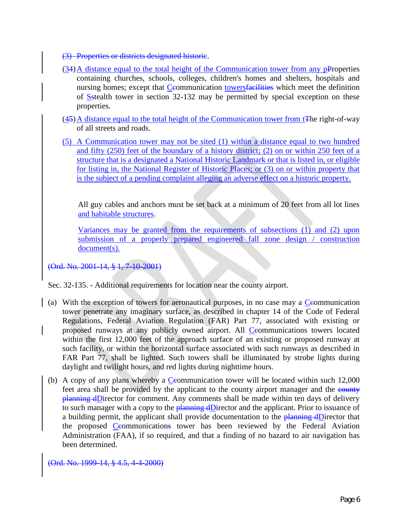- (3) Properties or districts designated historic.
- $(34)$ A distance equal to the total height of the Communication tower from any pProperties containing churches, schools, colleges, children's homes and shelters, hospitals and nursing homes; except that Ceommunication towersfacilities which meet the definition of Sstealth tower in section 32-132 may be permitted by special exception on these properties.
- $(45)$  A distance equal to the total height of the Communication tower from t<sub>The right-of-way</sub> of all streets and roads.
- (5) A Communication tower may not be sited (1) within a distance equal to two hundred and fifty (250) feet of the boundary of a history district; (2) on or within 250 feet of a structure that is a designated a National Historic Landmark or that is listed in, or eligible for listing in, the National Register of Historic Places; or (3) on or within property that is the subject of a pending complaint alleging an adverse effect on a historic property.

All guy cables and anchors must be set back at a minimum of 20 feet from all lot lines and habitable structures.

Variances may be granted from the requirements of subsections  $(1)$  and  $(2)$  upon submission of a properly prepared engineered fall zone design / construction document(s).

(Ord. No. 2001-14, § 1, 7-10-2001)

Sec. 32-135. - Additional requirements for location near the county airport.

- (a) With the exception of towers for aeronautical purposes, in no case may a Ccommunication tower penetrate any imaginary surface, as described in chapter 14 of the Code of Federal Regulations, Federal Aviation Regulation (FAR) Part 77, associated with existing or proposed runways at any publicly owned airport. All Ceommunications towers located within the first 12,000 feet of the approach surface of an existing or proposed runway at such facility, or within the horizontal surface associated with such runways as described in FAR Part 77, shall be lighted. Such towers shall be illuminated by strobe lights during daylight and twilight hours, and red lights during nighttime hours.
- (b) A copy of any plans whereby a  $C$ eommunication tower will be located within such 12,000 feet area shall be provided by the applicant to the county airport manager and the county planning dDirector for comment. Any comments shall be made within ten days of delivery to such manager with a copy to the **planning dD**irector and the applicant. Prior to issuance of a building permit, the applicant shall provide documentation to the planning dDirector that the proposed Ceommunications tower has been reviewed by the Federal Aviation Administration (FAA), if so required, and that a finding of no hazard to air navigation has been determined.

(Ord. No. 1999-14, § 4.5, 4-4-2000)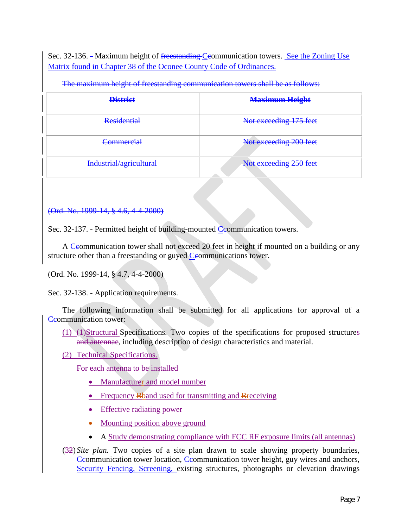Sec. 32-136. - Maximum height of <del>freestanding Ceo</del>mmunication towers. See the Zoning Use Matrix found in Chapter 38 of the Oconee County Code of Ordinances.

| <b>District</b>         | <b>Maximum Height</b>  |
|-------------------------|------------------------|
| <b>Residential</b>      | Not exceeding 175 feet |
| <b>Commercial</b>       | Not exceeding 200 feet |
| Industrial/agricultural | Not exceeding 250 feet |

The maximum height of freestanding communication towers shall be as follows:

### (Ord. No. 1999-14, § 4.6, 4-4-2000)

Sec. 32-137. - Permitted height of building-mounted Ceommunication towers.

A Ceommunication tower shall not exceed 20 feet in height if mounted on a building or any structure other than a freestanding or guyed Ceommunications tower.

(Ord. No. 1999-14, § 4.7, 4-4-2000)

Sec. 32-138. - Application requirements.

The following information shall be submitted for all applications for approval of a Ceommunication tower:

- (1) (4)Structural Specifications. Two copies of the specifications for proposed structures and antennae, including description of design characteristics and material.
- (2) Technical Specifications.

For each antenna to be installed

- Manufacturer and model number
- Frequency Bband used for transmitting and Rreceiving
- Effective radiating power
- Mounting position above ground
- A Study demonstrating compliance with FCC RF exposure limits (all antennas)
- (32) *Site plan.* Two copies of a site plan drawn to scale showing property boundaries, Ceommunication tower location, Ceommunication tower height, guy wires and anchors, Security Fencing, Screening, existing structures, photographs or elevation drawings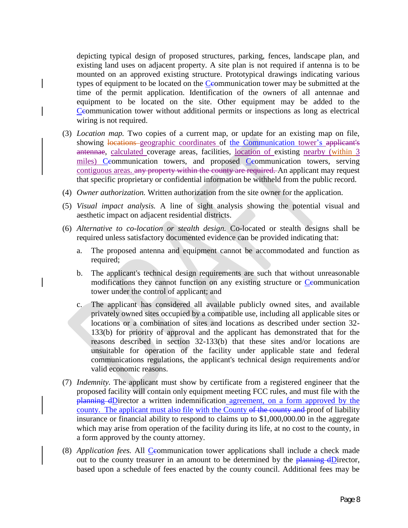depicting typical design of proposed structures, parking, fences, landscape plan, and existing land uses on adjacent property. A site plan is not required if antenna is to be mounted on an approved existing structure. Prototypical drawings indicating various types of equipment to be located on the Ceommunication tower may be submitted at the time of the permit application. Identification of the owners of all antennae and equipment to be located on the site. Other equipment may be added to the Ceommunication tower without additional permits or inspections as long as electrical wiring is not required.

- (3) *Location map.* Two copies of a current map, or update for an existing map on file, showing locations geographic coordinates of the Communication tower's applicant's antennae, calculated coverage areas, facilities, location of existing nearby (within 3 miles) Ceommunication towers, and proposed Ceommunication towers, serving contiguous areas. any property within the county are required. An applicant may request that specific proprietary or confidential information be withheld from the public record.
- (4) *Owner authorization.* Written authorization from the site owner for the application.
- (5) *Visual impact analysis.* A line of sight analysis showing the potential visual and aesthetic impact on adjacent residential districts.
- (6) *Alternative to co-location or stealth design.* Co-located or stealth designs shall be required unless satisfactory documented evidence can be provided indicating that:
	- a. The proposed antenna and equipment cannot be accommodated and function as required;
	- b. The applicant's technical design requirements are such that without unreasonable modifications they cannot function on any existing structure or Ceommunication tower under the control of applicant; and
	- c. The applicant has considered all available publicly owned sites, and available privately owned sites occupied by a compatible use, including all applicable sites or locations or a combination of sites and locations as described under section 32- 133(b) for priority of approval and the applicant has demonstrated that for the reasons described in section 32-133(b) that these sites and/or locations are unsuitable for operation of the facility under applicable state and federal communications regulations, the applicant's technical design requirements and/or valid economic reasons.
- (7) *Indemnity.* The applicant must show by certificate from a registered engineer that the proposed facility will contain only equipment meeting FCC rules, and must file with the planning dDirector a written indemnification agreement, on a form approved by the county. The applicant must also file with the County of the county and proof of liability insurance or financial ability to respond to claims up to \$1,000,000.00 in the aggregate which may arise from operation of the facility during its life, at no cost to the county, in a form approved by the county attorney.
- (8) *Application fees.* All *C*eommunication tower applications shall include a check made out to the county treasurer in an amount to be determined by the  $\frac{\text{planning d} \text{Directory}}{\text{q}}$ , based upon a schedule of fees enacted by the county council. Additional fees may be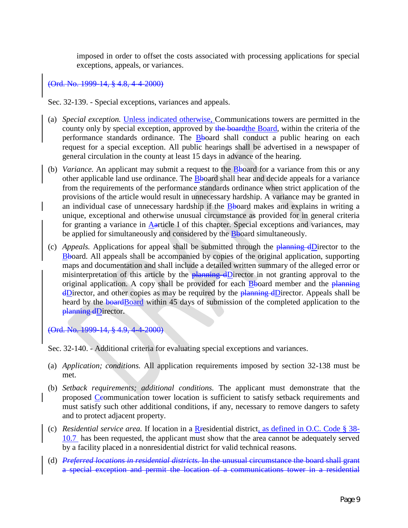imposed in order to offset the costs associated with processing applications for special exceptions, appeals, or variances.

### (Ord. No. 1999-14, § 4.8, 4-4-2000)

Sec. 32-139. - Special exceptions, variances and appeals.

- (a) *Special exception.* Unless indicated otherwise, Communications towers are permitted in the county only by special exception, approved by the board the Board, within the criteria of the performance standards ordinance. The **B**board shall conduct a public hearing on each request for a special exception. All public hearings shall be advertised in a newspaper of general circulation in the county at least 15 days in advance of the hearing.
- (b) *Variance.* An applicant may submit a request to the Bboard for a variance from this or any other applicable land use ordinance. The Bboard shall hear and decide appeals for a variance from the requirements of the performance standards ordinance when strict application of the provisions of the article would result in unnecessary hardship. A variance may be granted in an individual case of unnecessary hardship if the Bboard makes and explains in writing a unique, exceptional and otherwise unusual circumstance as provided for in general criteria for granting a variance in Aarticle I of this chapter. Special exceptions and variances, may be applied for simultaneously and considered by the **B**board simultaneously.
- (c) *Appeals.* Applications for appeal shall be submitted through the planning dDirector to the Bboard. All appeals shall be accompanied by copies of the original application, supporting maps and documentation and shall include a detailed written summary of the alleged error or misinterpretation of this article by the  $\frac{1}{2}$  planning dDirector in not granting approval to the original application. A copy shall be provided for each  $\frac{B}{B}$ board member and the planning  $\frac{dD}{dx}$  and other copies as may be required by the planning  $dD$  irector. Appeals shall be heard by the **board**Board within 45 days of submission of the completed application to the planning dDirector.

(Ord. No. 1999-14, § 4.9, 4-4-2000)

Sec. 32-140. - Additional criteria for evaluating special exceptions and variances.

- (a) *Application; conditions.* All application requirements imposed by section 32-138 must be met.
- (b) *Setback requirements; additional conditions.* The applicant must demonstrate that the proposed Ccommunication tower location is sufficient to satisfy setback requirements and must satisfy such other additional conditions, if any, necessary to remove dangers to safety and to protect adjacent property.
- (c) *Residential service area.* If location in a Rresidential district, as defined in O.C. Code § 38- 10.7 has been requested, the applicant must show that the area cannot be adequately served by a facility placed in a nonresidential district for valid technical reasons.
- (d) *Preferred locations in residential districts.* In the unusual circumstance the board shall grant a special exception and permit the location of a communications tower in a residential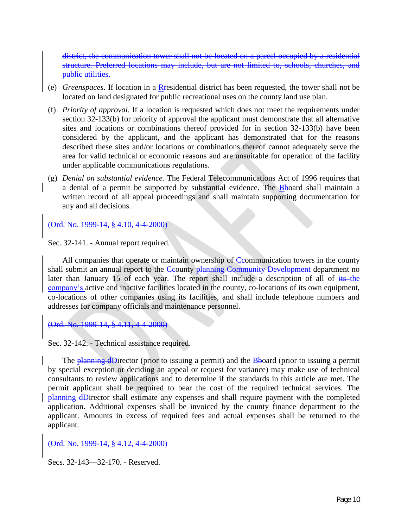district, the communication tower shall not be located on a parcel occupied by a residential structure. Preferred locations may include, but are not limited to, schools, churches, and public utilities.

- (e) *Greenspaces.* If location in a Rresidential district has been requested, the tower shall not be located on land designated for public recreational uses on the county land use plan.
- (f) *Priority of approval.* If a location is requested which does not meet the requirements under section 32-133(b) for priority of approval the applicant must demonstrate that all alternative sites and locations or combinations thereof provided for in section 32-133(b) have been considered by the applicant, and the applicant has demonstrated that for the reasons described these sites and/or locations or combinations thereof cannot adequately serve the area for valid technical or economic reasons and are unsuitable for operation of the facility under applicable communications regulations.
- (g) *Denial on substantial evidence.* The Federal Telecommunications Act of 1996 requires that a denial of a permit be supported by substantial evidence. The Bboard shall maintain a written record of all appeal proceedings and shall maintain supporting documentation for any and all decisions.

(Ord. No. 1999-14, § 4.10, 4-4-2000)

Sec. 32-141. - Annual report required.

All companies that operate or maintain ownership of  $C$ eommunication towers in the county shall submit an annual report to the Ceounty planning Community Development department no later than January 15 of each year. The report shall include a description of all of its the company's active and inactive facilities located in the county, co-locations of its own equipment, co-locations of other companies using its facilities, and shall include telephone numbers and addresses for company officials and maintenance personnel.

(Ord. No. 1999-14, § 4.11, 4-

Sec. 32-142. - Technical assistance required.

The planning dDirector (prior to issuing a permit) and the Bboard (prior to issuing a permit by special exception or deciding an appeal or request for variance) may make use of technical consultants to review applications and to determine if the standards in this article are met. The permit applicant shall be required to bear the cost of the required technical services. The planning dDirector shall estimate any expenses and shall require payment with the completed application. Additional expenses shall be invoiced by the county finance department to the applicant. Amounts in excess of required fees and actual expenses shall be returned to the applicant.

(Ord. No. 1999-14, § 4.12, 4-4-2000)

Secs. 32-143—32-170. - Reserved.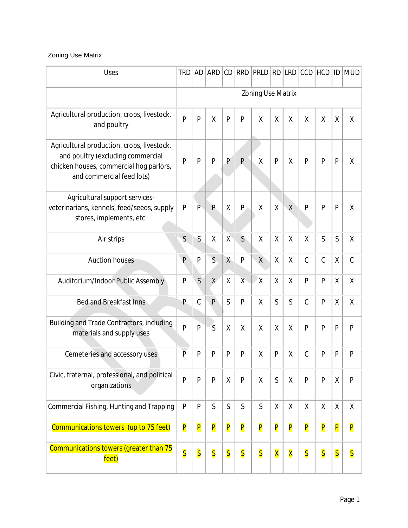## Zoning Use Matrix

| <b>Uses</b>                                                                                                                                             | <b>TRD</b>              | <b>AD</b>               | <b>ARD</b>              | CD                      | <b>RRD</b>              | PRLD                    | RD                      | <b>LRD</b>              | CCD                     | <b>HCD</b>              |                         | <b>ID MUD</b>           |
|---------------------------------------------------------------------------------------------------------------------------------------------------------|-------------------------|-------------------------|-------------------------|-------------------------|-------------------------|-------------------------|-------------------------|-------------------------|-------------------------|-------------------------|-------------------------|-------------------------|
|                                                                                                                                                         | Zoning Use Matrix       |                         |                         |                         |                         |                         |                         |                         |                         |                         |                         |                         |
| Agricultural production, crops, livestock,<br>and poultry                                                                                               | $\overline{P}$          | P                       | $\sf X$                 | P                       | P                       | X                       | X                       | $\sf X$                 | X                       | $\sf X$                 | $\sf X$                 | X                       |
| Agricultural production, crops, livestock,<br>and poultry (excluding commercial<br>chicken houses, commercial hog parlors,<br>and commercial feed lots) | P                       | P                       | P                       | P                       | P                       | X                       | P                       | X                       | P                       | P                       | $\mathsf{P}$            | X                       |
| Agricultural support services-<br>veterinarians, kennels, feed/seeds, supply<br>stores, implements, etc.                                                | P                       | $\overline{P}$          | P                       | Χ                       | $\mathsf{P}$            | χ                       | χ                       | $\sf X$                 | P                       | $\mathsf{P}$            | $\mathsf{P}$            | χ                       |
| Air strips                                                                                                                                              | S                       | S.                      | X                       | $\mathsf{X}$            | $\mathsf{S}$            | X                       | X                       | X                       | X                       | S                       | S                       | χ                       |
| <b>Auction houses</b>                                                                                                                                   |                         | $\mathsf{P}$            | $\mathsf{S}$            | $\chi$                  | $\mathsf{P}$            | $\chi$                  | Χ                       | X                       | $\mathcal{C}$           | $\mathcal{C}$           | $\sf X$                 | $\mathcal{C}$           |
| Auditorium/Indoor Public Assembly                                                                                                                       | P                       | S                       | X                       | Χ                       | $X -$                   | $\mathsf{X}$            | χ                       | Χ                       | P                       | P                       | $\sf X$                 | Χ                       |
| <b>Bed and Breakfast Inns</b>                                                                                                                           | P                       | $\mathsf C$             | $\mathsf{P}$            | $\mathsf{S}$            | $\mathsf{P}$            | $\sf X$                 | S                       | S                       | $\mathcal{C}$           | P                       | $\sf X$                 | χ                       |
| Building and Trade Contractors, including<br>materials and supply uses                                                                                  | $\overline{P}$          | P                       | S                       | X                       | X                       | X                       | X                       | X                       | P                       | $\mathsf{P}$            | $\mathsf{P}$            | P                       |
| Cemeteries and accessory uses                                                                                                                           | $\overline{P}$          | P                       | P                       | P                       | P                       | X                       | P                       | Χ                       | $\mathcal{C}$           | P                       | $\mathsf{P}$            | P                       |
| Civic, fraternal, professional, and political<br>organizations                                                                                          |                         | P                       | P                       | χ                       | ${\sf P}$               | χ                       | $\mathsf{S}$            | $\sf X$                 | P                       | $\mathsf{P}$            | χ                       | P                       |
| Commercial Fishing, Hunting and Trapping                                                                                                                |                         | P                       | $\mathsf{S}$            | $\mathsf S$             | $\mathsf{S}$            | $\mathsf{S}$            | χ                       | X                       | $\sf X$                 | χ                       | $\sf X$                 | χ                       |
| Communications towers (up to 75 feet)                                                                                                                   | P                       | $\overline{\mathsf{P}}$ | $\overline{\mathsf{P}}$ | P                       | P                       | $\overline{\mathsf{P}}$ | $\overline{\mathsf{P}}$ | $\overline{\mathsf{P}}$ | P                       | P                       | $\overline{\mathsf{P}}$ | $\overline{\mathsf{P}}$ |
| Communications towers (greater than 75<br>feet)                                                                                                         | $\overline{\mathsf{S}}$ | $\overline{\mathsf{S}}$ | $\overline{\mathsf{S}}$ | $\overline{\mathsf{S}}$ | $\overline{\mathsf{S}}$ | $\overline{\mathsf{S}}$ | X                       | X                       | $\overline{\mathsf{S}}$ | $\overline{\mathsf{S}}$ | $\overline{\mathsf{S}}$ | $\overline{\mathsf{S}}$ |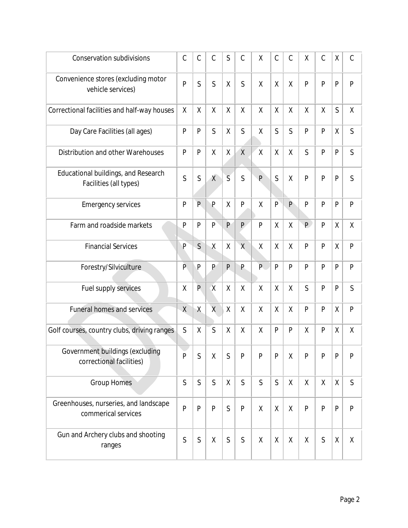| <b>Conservation subdivisions</b>                              | $\mathcal{C}$ | $\mathcal{C}$ | $\mathcal{C}$  | $\mathsf{S}$   | $\mathcal{C}$  | X              | $\mathcal{C}$  | $\mathcal{C}$ | X              | $\mathcal{C}$ | χ            | $\mathcal{C}$ |
|---------------------------------------------------------------|---------------|---------------|----------------|----------------|----------------|----------------|----------------|---------------|----------------|---------------|--------------|---------------|
| Convenience stores (excluding motor<br>vehicle services)      | P             | S             | S              | X              | S              | X              | X              | $\sf X$       | P              | $\mathsf{P}$  | $\mathsf{P}$ | P             |
| Correctional facilities and half-way houses                   | χ             | X             | X              | Χ              | Χ              | X              | X              | X             | X              | $\sf X$       | S            | χ             |
| Day Care Facilities (all ages)                                | P             | P             | $\mathsf{S}$   | χ              | S              | χ              | S              | $\mathsf{S}$  | P              | P             | χ            | S             |
| Distribution and other Warehouses                             | P             | P             | X              | X              | $\mathsf{X}$   | $\sf X$        | χ              | X             | $\mathsf{S}$   | P             | $\mathsf{P}$ | S             |
| Educational buildings, and Research<br>Facilities (all types) | $\mathsf{S}$  | $\mathsf{S}$  | $\chi$         | $\overline{S}$ | $\mathsf{S}$   | $\overline{P}$ | S              | $\sf X$       | $\overline{P}$ | $\mathsf{P}$  | $\mathsf{P}$ | S             |
| <b>Emergency services</b>                                     | $\mathsf{P}$  | P.            | P              | X              | $\mathsf{P}$   | $\sf X$        | $\overline{P}$ | $\mathsf{P}$  | P              | $\mathsf{P}$  | $\mathsf{P}$ | P             |
| Farm and roadside markets                                     | P             | P             | P              | P              | P              | $\mathsf{P}$   | $\sf X$        | X             | P              | $\mathsf{P}$  | $\sf X$      | $\sf X$       |
| <b>Financial Services</b>                                     | P             | S             | $\sf X$        | $\sf X$        | $\overline{X}$ | $\sf X$        | $\sf X$        | $\sf X$       | P              | $\mathsf{P}$  | $\sf X$      | P             |
| Forestry/Silviculture                                         | P.            | P             | P              | P              | P              | P              | $\mathsf{P}$   | $\mathsf{P}$  | P              | P             | $\mathsf{P}$ | P             |
| Fuel supply services                                          | X             | P             | $\overline{X}$ | X              | X              | $\sf X$        | χ              | X             | S              | P             | $\mathsf{P}$ | S             |
| <b>Funeral homes and services</b>                             | $\sf X$       | $\sf X$       | $\overline{X}$ | $\mathsf{X}$   | X              | $\sf X$        | $\sf X$        | $\sf X$       | P              | P             | $\sf X$      | P             |
| Golf courses, country clubs, driving ranges                   | $\mathsf{S}$  | $\sf X$       | S              | X              | X              | $\sf X$        | P              | $\mathsf{P}$  | X              | P             | $\sf X$      | Χ             |
| Government buildings (excluding<br>correctional facilities)   | P             | $\mathsf S$   | χ              | S              | $\mathsf{P}$   | $\mathsf{P}$   | $\mathsf{P}$   | Χ             | P              | $\mathsf{P}$  | $\mathsf{P}$ | $\mathsf{P}$  |
| <b>Group Homes</b>                                            |               | $\mathsf{S}$  | $\mathsf{S}$   | X              | $\mathsf{S}$   | $\mathsf{S}$   | $\mathsf S$    | X             | Χ              | χ             | $\sf X$      | S             |
| Greenhouses, nurseries, and landscape<br>commerical services  | P             | P             | P              | $\mathsf{S}$   | $\mathsf{P}$   | X              | χ              | $\sf X$       | P              | P             | $\mathsf{P}$ | P             |
| Gun and Archery clubs and shooting<br>ranges                  |               | S             | χ              | $\mathsf S$    | $\mathsf S$    | X              | χ              | χ             | χ              | $\mathsf S$   | $\sf X$      | χ             |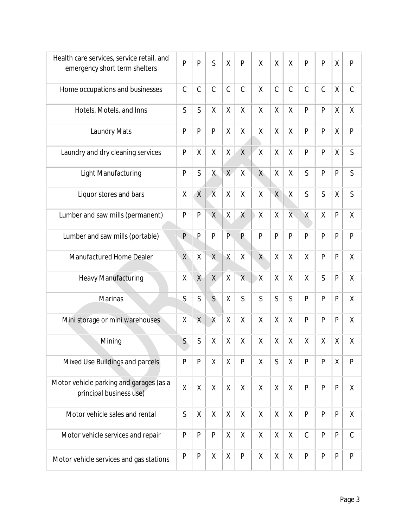| Health care services, service retail, and<br>emergency short term shelters | P             | $\overline{P}$ | S              | $\mathsf{X}$   | $\overline{P}$          | $\mathsf{X}$ | $\sf X$       | $\sf X$      | P            | $\mathsf{P}$  | $\sf X$      | P             |
|----------------------------------------------------------------------------|---------------|----------------|----------------|----------------|-------------------------|--------------|---------------|--------------|--------------|---------------|--------------|---------------|
| Home occupations and businesses                                            | $\mathcal{C}$ | $\mathsf C$    | $\mathsf C$    | $\mathcal{C}$  | $\mathcal{C}$           | $\sf X$      | $\mathcal{C}$ | $\mathsf C$  | $\mathsf C$  | $\mathcal{C}$ | $\sf X$      | $\mathcal{C}$ |
| Hotels, Motels, and Inns                                                   | S             | $\mathsf{S}$   | $\sf X$        | Χ              | $\sf X$                 | $\sf X$      | X             | $\sf X$      | P            | $\mathsf{P}$  | $\sf X$      | $\sf X$       |
| Laundry Mats                                                               | P             | P              | P              | Χ              | $\sf X$                 | χ            | Χ             | Χ            | P            | P             | $\sf X$      | $\mathsf{P}$  |
| Laundry and dry cleaning services                                          | $\mathsf{P}$  | χ              | Χ              | Χ              | $\sf X$                 | $\sf X$      | χ             | Χ            | P            | P             | χ            | S             |
| Light Manufacturing                                                        | P             | S              | X              | $\overline{X}$ | $\sf X$                 | X            | Χ             | X            | $\mathsf{S}$ | P             | $\mathsf{P}$ | S             |
| Liquor stores and bars                                                     | Χ             | $\overline{X}$ | $\overline{X}$ | $\sf X$        | $\sf X$                 | $\sf X$      | $\sf X$       | $\sf X$      | Ś            | S             | $\sf X$      | S             |
| Lumber and saw mills (permanent)                                           | P             | P              | $\sf X$        | X              | $\chi$                  | $\sf X$      | $\sf X$       | $X -$        | X            | $\sf X$       | $\mathsf{P}$ | Χ             |
| Lumber and saw mills (portable)                                            | P             | $\overline{P}$ | P              | $\mathsf{P}$   | P                       | P            | P             | P            | P            | P             | $\mathsf{P}$ | P             |
| Manufactured Home Dealer                                                   | $\sf X$       | $\sf X$        | $\sf X$        | $\sf X$        | χ                       | X            | Χ             | $\sf X$      | X            | P             | P            | Χ             |
| <b>Heavy Manufacturing</b>                                                 | X             | $\chi$         | X              | $\mathsf{X}$   | $\overline{\mathsf{X}}$ | Χ,           | $\sf X$       | $\sf X$      | $\sf X$      | S             | P            | $\sf X$       |
| Marinas                                                                    | $\mathsf{S}$  | $\mathsf{S}$   | $\mathsf{S}$   | Χ              | S                       | $\mathsf{S}$ | $\mathsf{S}$  | $\mathsf{S}$ | P            | P             | P            | Χ             |
| Mini storage or mini warehouses                                            | Χ             | $\sf X$        | $\sf X$        | χ              | χ                       | χ            | χ             | Χ            | P            | P             | P            | Χ             |
| Mining                                                                     | $\mathsf{S}$  | S              | Χ              | X              | χ                       | $\sf X$      | X             | Χ            | Χ            | χ             | χ            | χ             |
| Mixed Use Buildings and parcels                                            | $\mathsf{P}$  | P              | Χ              | $\mathsf{X}$   | $\mathsf{P}$            | $\sf X$      | $\mathsf{S}$  | $\sf X$      | P            | P             | $\sf X$      | P             |
| Motor vehicle parking and garages (as a<br>principal business use)         |               | χ              | $\sf X$        | χ              | χ                       | X            | X             | X            | P            | P             | P            | χ             |
| Motor vehicle sales and rental                                             | $\mathsf{S}$  | χ              | $\sf X$        | $\sf X$        | $\sf X$                 | $\sf X$      | $\sf X$       | $\sf X$      | P            | P             | P            | $\sf X$       |
| Motor vehicle services and repair                                          | ${\sf P}$     | $\mathsf{P}$   | P              | $\sf X$        | $\sf X$                 | $\sf X$      | $\mathsf{X}$  | $\sf X$      | $\mathsf C$  | ${\sf P}$     | P            | $\mathsf C$   |
| Motor vehicle services and gas stations                                    | P             | $\mathsf{P}$   | χ              | χ              | $\mathsf{P}$            | X            | X             | $\sf X$      | P            | P             | P            | $\mathsf{P}$  |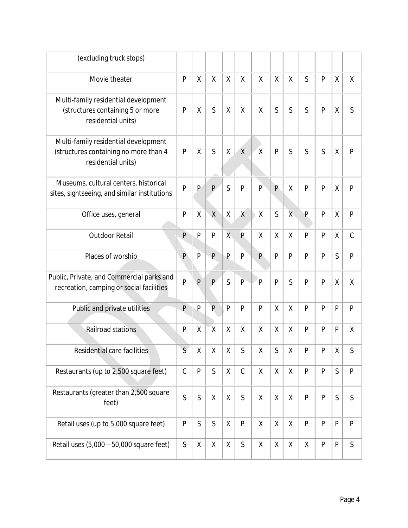| (excluding truck stops)                                                                             |              |                |                |                |              |                |                |              |              |              |              |               |
|-----------------------------------------------------------------------------------------------------|--------------|----------------|----------------|----------------|--------------|----------------|----------------|--------------|--------------|--------------|--------------|---------------|
| Movie theater                                                                                       | P            | χ              | χ              | X              | χ            | χ              | Χ              | Χ            | $\mathsf{S}$ | P            | $\sf X$      | Χ             |
| Multi-family residential development<br>(structures containing 5 or more<br>residential units)      | $\mathsf{P}$ | χ              | S              | Χ              | Χ            | $\sf X$        | S              | S            | $\mathsf{S}$ | P            | $\sf X$      | S             |
| Multi-family residential development<br>(structures containing no more than 4<br>residential units) | P            | Χ              | S              | Χ              | $\mathsf{X}$ | $\chi$         | P              | S            | $\mathsf{S}$ | S            | χ            | P             |
| Museums, cultural centers, historical<br>sites, sightseeing, and similar institutions               | P            | P              | P              | S              | $\mathsf{P}$ | $\mathsf{P}$   | P              | Χ            | P            | P            | Χ            | P             |
| Office uses, general                                                                                | $\mathsf{P}$ | $\sf X$        | $\sf X$        | Χ              | $\chi$       | $\sf X$        | $\mathsf{S}$   | $\mathsf{X}$ | P            | $\mathsf{P}$ | $\sf X$      | P             |
| <b>Outdoor Retail</b>                                                                               | P            | P              | P              | $\overline{X}$ | $\mathsf{P}$ | χ              | Χ              | Χ            | P            | P            | X            | $\mathcal{C}$ |
| Places of worship                                                                                   | P            | P              | $\overline{P}$ | P              | P            | $\mathsf{P}$   | P              | P            | P            | P            | S            | $\mathsf{P}$  |
| Public, Private, and Commercial parks and<br>recreation, camping or social facilities               | $\mathsf{P}$ | $\overline{P}$ | P              | $\overline{S}$ | $\mathsf{P}$ | $\overline{P}$ | $\overline{P}$ | S            | P            | P            | $\sf X$      | $\sf X$       |
| Public and private utilities                                                                        | P            | $\mathsf{P}$   | P              | P              | P            | P              | χ              | $\sf X$      | P            | P            | P            | P             |
| Railroad stations                                                                                   | P            | $\sf X$        | $\overline{X}$ | Χ              | $\sf X$      | $\sf X$        | X              | $\sf X$      | P            | P            | P            | $\sf X$       |
| Residential care facilities                                                                         | $\mathsf{S}$ | $\mathsf X$    | $\mathsf X$    | $\mathsf X$    | S            | $\mathsf X$    | $\mathsf S$    | X            | ${\sf P}$    | ${\sf P}$    | $\sf X$      | S             |
| Restaurants (up to 2,500 square feet)                                                               |              | ${\sf P}$      | $\mathsf{S}$   | χ              | $\mathsf C$  | $\sf X$        | X              | χ            | P            | P            | $\mathsf{S}$ | $\mathsf{P}$  |
| Restaurants (greater than 2,500 square<br>feet)                                                     | $\mathsf{S}$ | $\mathsf S$    | $\mathsf{X}$   | χ              | $\mathsf S$  | $\sf X$        | χ              | $\sf X$      | $\mathsf{P}$ | $\mathsf{P}$ | $\mathsf{S}$ | S             |
| Retail uses (up to 5,000 square feet)                                                               | P            | $\mathsf S$    | $\mathsf{S}$   | χ              | $\mathsf{P}$ | X              | X              | X            | P            | P            | P            | $\mathsf{P}$  |
| Retail uses (5,000-50,000 square feet)                                                              | $\mathsf S$  | Χ              | χ              | χ              | $\mathsf S$  | Χ              | X              | X            | χ            | ${\sf P}$    | $\mathsf{P}$ | S             |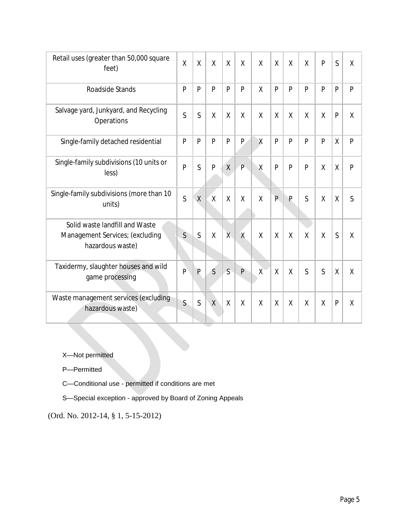| Retail uses (greater than 50,000 square<br>feet)                                      | $\mathsf{X}$   | $\sf X$        | $\sf X$        | X       | $\sf X$        | X       | $\sf X$ | $\sf X$ | $\sf X$        | P            | S            | $\sf X$ |
|---------------------------------------------------------------------------------------|----------------|----------------|----------------|---------|----------------|---------|---------|---------|----------------|--------------|--------------|---------|
| Roadside Stands                                                                       | P              | P              | P              | P       | P              | X       | P       | P       | P              | P            | $\mathsf{P}$ | P       |
| Salvage yard, Junkyard, and Recycling<br>Operations                                   | S              | S              | $\sf X$        | X       | $\sf X$        | X       | $\sf X$ | $\sf X$ | $\sf X$        | $\sf X$      | $\mathsf{P}$ | $\sf X$ |
| Single-family detached residential                                                    | P              | P              | P              | P       | P.             | X       | P       | P       | $\overline{P}$ | P            | $\sf X$      | P       |
| Single-family subdivisions (10 units or<br>less)                                      | $\overline{P}$ | S              | P              | $\sf X$ | $\hat{P}$      | Χ       | P       | P       | P              | $\sf X$      | $\sf X$      | P       |
| Single-family subdivisions (more than 10<br>units)                                    | S              | $\sf X$        | $\overline{X}$ | $\sf X$ | $\sf X$        | $\sf X$ | P       | P       | S              | $\sf X$      | X            | S       |
| Solid waste landfill and Waste<br>Management Services; (excluding<br>hazardous waste) | S              | S              | $\sf X$        | X       | $\overline{X}$ | $\sf X$ | $\sf X$ | $\sf X$ | X              | $\sf X$      | S            | $\sf X$ |
| Taxidermy, slaughter houses and wild<br>game processing                               | $\mathsf{P}$   | $\overline{P}$ | $\mathsf{S}$   | S       | P              | $\chi$  | X       | $\sf X$ | S              | S            | $\sf X$      | $\sf X$ |
| Waste management services (excluding<br>hazardous waste)                              | $\mathsf{S}$   | S              | X              | $\sf X$ | X              | X       | X       | $\sf X$ | $\sf X$        | $\mathsf{X}$ | P            | X       |

X—Not permitted

P—Permitted

C—Conditional use - permitted if conditions are met

S—Special exception - approved by Board of Zoning Appeals

(Ord. No. 2012-14, § 1, 5-15-2012)